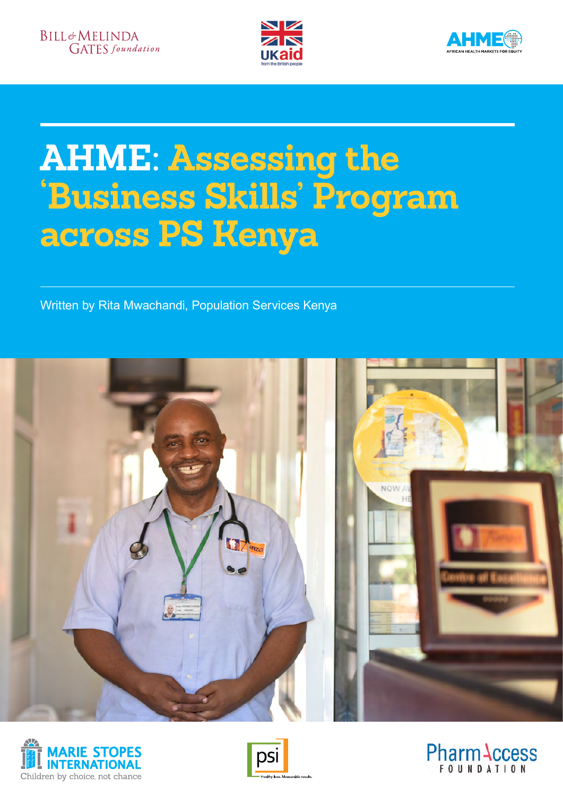



# **AHME: Assessing the 'Business Skills' Program across PS Kenya**

Written by Rita Mwachandi, Population Services Kenya







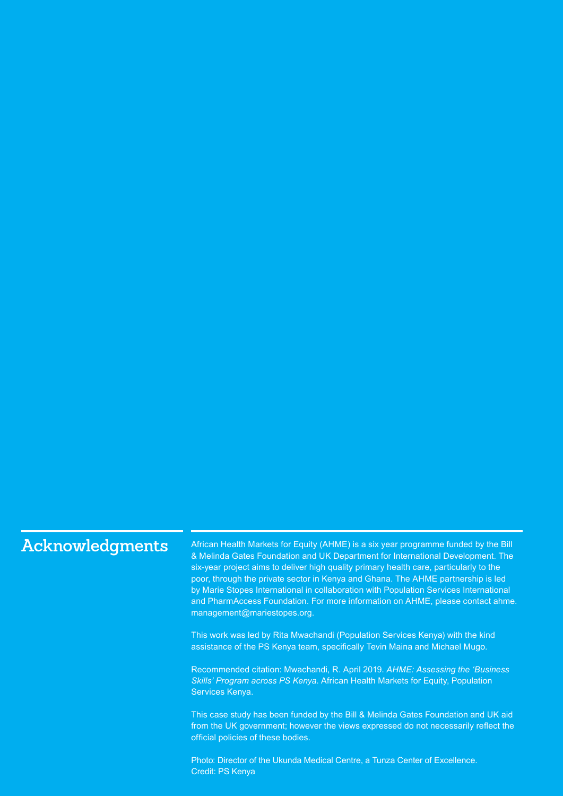# **Acknowledgments**

African Health Markets for Equity (AHME) is a six year programme funded by the Bill & Melinda Gates Foundation and UK Department for International Development. The six-year project aims to deliver high quality primary health care, particularly to the poor, through the private sector in Kenya and Ghana. The AHME partnership is led by Marie Stopes International in collaboration with Population Services International and PharmAccess Foundation. For more information on AHME, please contact ahme. management@mariestopes.org.

This work was led by Rita Mwachandi (Population Services Kenya) with the kind assistance of the PS Kenya team, specifically Tevin Maina and Michael Mugo.

Recommended citation: Mwachandi, R. April 2019. *AHME: Assessing the 'Business Skills' Program across PS Kenya*. African Health Markets for Equity, Population Services Kenya.

This case study has been funded by the Bill & Melinda Gates Foundation and UK aid from the UK government; however the views expressed do not necessarily reflect the official policies of these bodies.

Photo: Director of the Ukunda Medical Centre, a Tunza Center of Excellence. Credit: PS Kenya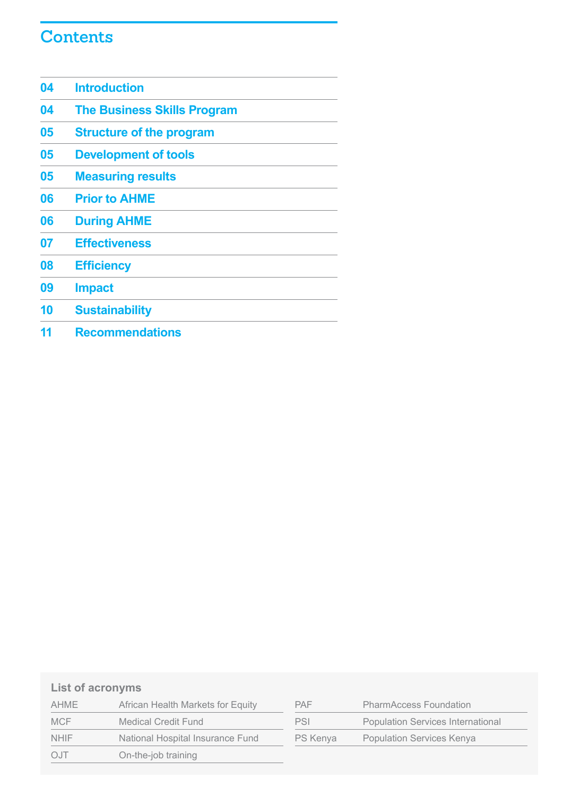# **Contents**

| 04 | <b>Introduction</b>                |
|----|------------------------------------|
| 04 | <b>The Business Skills Program</b> |
| 05 | <b>Structure of the program</b>    |
| 05 | <b>Development of tools</b>        |
| 05 | <b>Measuring results</b>           |
| 06 | <b>Prior to AHME</b>               |
| 06 | <b>During AHME</b>                 |
| 07 | <b>Effectiveness</b>               |
| 08 | <b>Efficiency</b>                  |
| 09 | <b>Impact</b>                      |
| 10 | <b>Sustainability</b>              |
| 11 | <b>Recommendations</b>             |

### **List of acronyms**

| AHME        | African Health Markets for Equity |  |
|-------------|-----------------------------------|--|
| <b>MCF</b>  | <b>Medical Credit Fund</b>        |  |
| <b>NHIF</b> | National Hospital Insurance Fund  |  |
| O.1T        | On-the-job training               |  |

| <b>PAF</b> | <b>PharmAccess Foundation</b>            |
|------------|------------------------------------------|
| PSI        | <b>Population Services International</b> |
| PS Kenya   | <b>Population Services Kenya</b>         |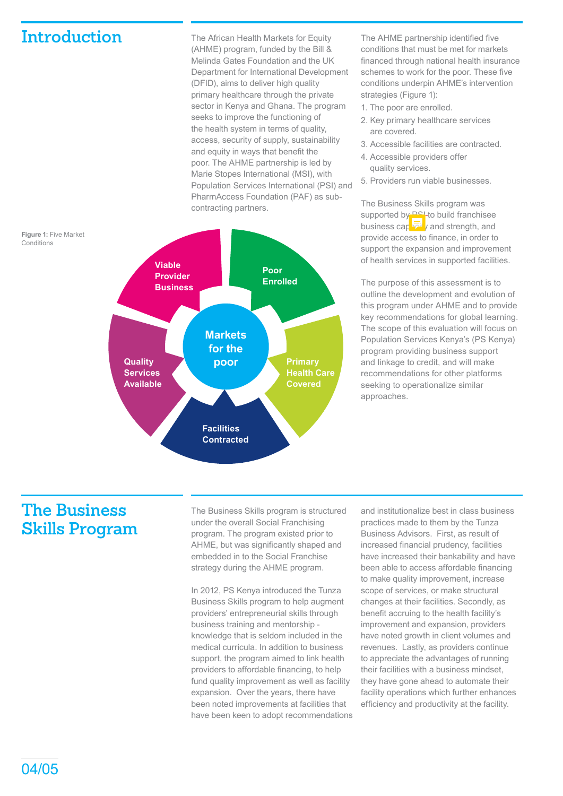### **Introduction**

**Conditions** 

The African Health Markets for Equity (AHME) program, funded by the Bill & Melinda Gates Foundation and the UK Department for International Development (DFID), aims to deliver high quality primary healthcare through the private sector in Kenya and Ghana. The program seeks to improve the functioning of the health system in terms of quality, access, security of supply, sustainability and equity in ways that benefit the poor. The AHME partnership is led by Marie Stopes International (MSI), with Population Services International (PSI) and PharmAccess Foundation (PAF) as subcontracting partners.



The AHME partnership identified five conditions that must be met for markets financed through national health insurance schemes to work for the poor. These five conditions underpin AHME's intervention strategies (Figure 1):

- 1. The poor are enrolled.
- 2. Key primary healthcare services are covered.
- 3. Accessible facilities are contracted.
- 4. Accessible providers offer quality services.
- 5. Providers run viable businesses.

The Business Skills program was supported by **PSI-to build franchisee** business capacity and strength, and provide access to finance, in order to support the expansion and improvement of health services in supported facilities.

The purpose of this assessment is to outline the development and evolution of this program under AHME and to provide key recommendations for global learning. The scope of this evaluation will focus on Population Services Kenya's (PS Kenya) program providing business support and linkage to credit, and will make recommendations for other platforms seeking to operationalize similar approaches.

# **The Business Skills Program**

The Business Skills program is structured under the overall Social Franchising program. The program existed prior to AHME, but was significantly shaped and embedded in to the Social Franchise strategy during the AHME program.

In 2012, PS Kenya introduced the Tunza Business Skills program to help augment providers' entrepreneurial skills through business training and mentorship knowledge that is seldom included in the medical curricula. In addition to business support, the program aimed to link health providers to affordable financing, to help fund quality improvement as well as facility expansion. Over the years, there have been noted improvements at facilities that have been keen to adopt recommendations and institutionalize best in class business practices made to them by the Tunza Business Advisors. First, as result of increased financial prudency, facilities have increased their bankability and have been able to access affordable financing to make quality improvement, increase scope of services, or make structural changes at their facilities. Secondly, as benefit accruing to the health facility's improvement and expansion, providers have noted growth in client volumes and revenues. Lastly, as providers continue to appreciate the advantages of running their facilities with a business mindset, they have gone ahead to automate their facility operations which further enhances efficiency and productivity at the facility.

04/05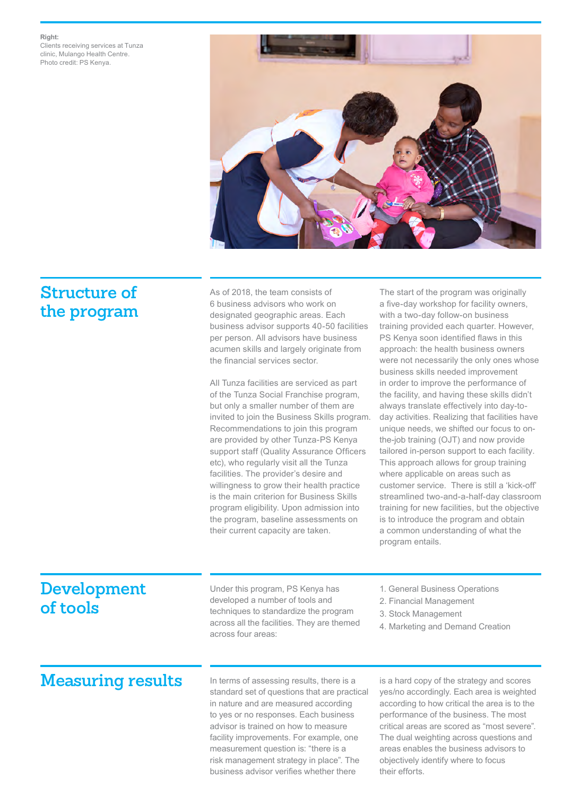### **Right:**

Clients receiving services at Tunza clinic, Mulango Health Centre. Photo credit: PS Kenya.



### **Structure of the program**

As of 2018, the team consists of 6 business advisors who work on designated geographic areas. Each business advisor supports 40-50 facilities per person. All advisors have business acumen skills and largely originate from the financial services sector.

All Tunza facilities are serviced as part of the Tunza Social Franchise program, but only a smaller number of them are invited to join the Business Skills program. Recommendations to join this program are provided by other Tunza-PS Kenya support staff (Quality Assurance Officers etc), who regularly visit all the Tunza facilities. The provider's desire and willingness to grow their health practice is the main criterion for Business Skills program eligibility. Upon admission into the program, baseline assessments on their current capacity are taken.

The start of the program was originally a five-day workshop for facility owners, with a two-day follow-on business training provided each quarter. However, PS Kenya soon identified flaws in this approach: the health business owners were not necessarily the only ones whose business skills needed improvement in order to improve the performance of the facility, and having these skills didn't always translate effectively into day-today activities. Realizing that facilities have unique needs, we shifted our focus to onthe-job training (OJT) and now provide tailored in-person support to each facility. This approach allows for group training where applicable on areas such as customer service. There is still a 'kick-off' streamlined two-and-a-half-day classroom training for new facilities, but the objective is to introduce the program and obtain a common understanding of what the program entails.

# **Development of tools**

Under this program, PS Kenya has developed a number of tools and techniques to standardize the program across all the facilities. They are themed across four areas:

- 1. General Business Operations
- 2. Financial Management
- 3. Stock Management
- 4. Marketing and Demand Creation

# Measuring results In terms of assessing results, there is a

standard set of questions that are practical in nature and are measured according to yes or no responses. Each business advisor is trained on how to measure facility improvements. For example, one measurement question is: "there is a risk management strategy in place". The business advisor verifies whether there

is a hard copy of the strategy and scores yes/no accordingly. Each area is weighted according to how critical the area is to the performance of the business. The most critical areas are scored as "most severe". The dual weighting across questions and areas enables the business advisors to objectively identify where to focus their efforts.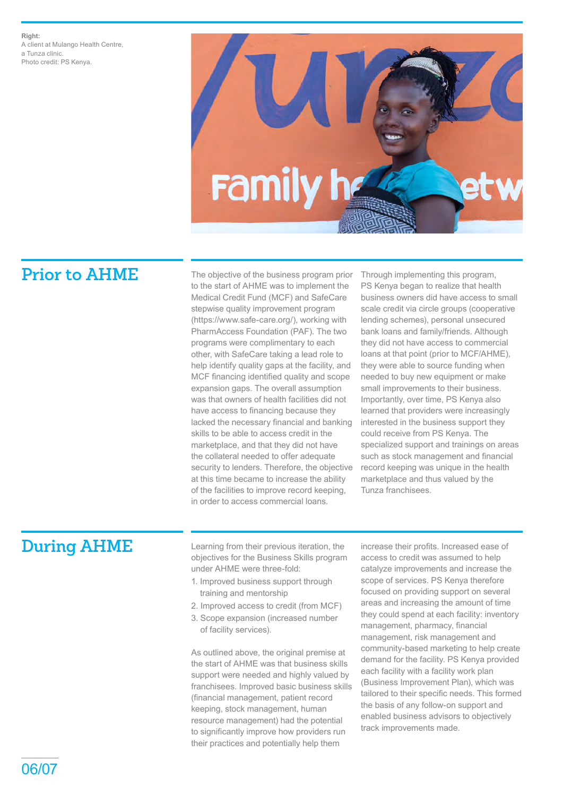

**Prior to AHME** The objective of the business program prior to the start of AHME was to implement the Medical Credit Fund (MCF) and SafeCare stepwise quality improvement program (https://www.safe-care.org/), working with PharmAccess Foundation (PAF). The two programs were complimentary to each other, with SafeCare taking a lead role to help identify quality gaps at the facility, and MCF financing identified quality and scope expansion gaps. The overall assumption was that owners of health facilities did not have access to financing because they lacked the necessary financial and banking skills to be able to access credit in the marketplace, and that they did not have the collateral needed to offer adequate security to lenders. Therefore, the objective at this time became to increase the ability of the facilities to improve record keeping, in order to access commercial loans.

Through implementing this program, PS Kenya began to realize that health business owners did have access to small scale credit via circle groups (cooperative lending schemes), personal unsecured bank loans and family/friends. Although they did not have access to commercial loans at that point (prior to MCF/AHME), they were able to source funding when needed to buy new equipment or make small improvements to their business. Importantly, over time, PS Kenya also learned that providers were increasingly interested in the business support they could receive from PS Kenya. The specialized support and trainings on areas such as stock management and financial record keeping was unique in the health marketplace and thus valued by the Tunza franchisees.

**During AHME** Learning from their previous iteration, the objectives for the Business Skills program under AHME were three-fold:

- 1. Improved business support through training and mentorship
- 2. Improved access to credit (from MCF)
- 3. Scope expansion (increased number of facility services).

As outlined above, the original premise at the start of AHME was that business skills support were needed and highly valued by franchisees. Improved basic business skills (financial management, patient record keeping, stock management, human resource management) had the potential to significantly improve how providers run their practices and potentially help them

increase their profits. Increased ease of access to credit was assumed to help catalyze improvements and increase the scope of services. PS Kenya therefore focused on providing support on several areas and increasing the amount of time they could spend at each facility: inventory management, pharmacy, financial management, risk management and community-based marketing to help create demand for the facility. PS Kenya provided each facility with a facility work plan (Business Improvement Plan), which was tailored to their specific needs. This formed the basis of any follow-on support and enabled business advisors to objectively track improvements made.

06/07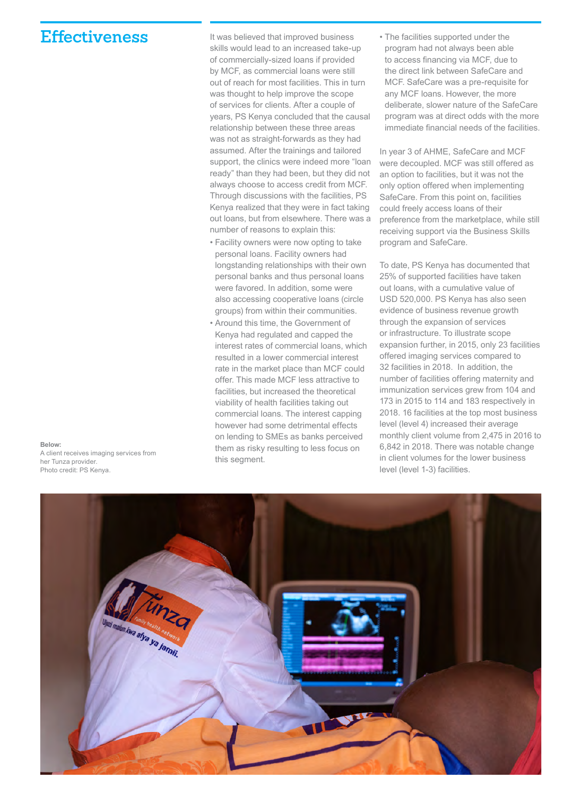### **Effectiveness** It was believed that improved business

out of reach for most facilities. This in turn was thought to help improve the scope of services for clients. After a couple of years, PS Kenya concluded that the causal relationship between these three areas was not as straight-forwards as they had assumed. After the trainings and tailored support, the clinics were indeed more "loan ready" than they had been, but they did not always choose to access credit from MCF. Through discussions with the facilities, PS Kenya realized that they were in fact taking out loans, but from elsewhere. There was a number of reasons to explain this:

skills would lead to an increased take-up of commercially-sized loans if provided by MCF, as commercial loans were still

- Facility owners were now opting to take personal loans. Facility owners had longstanding relationships with their own personal banks and thus personal loans were favored. In addition, some were also accessing cooperative loans (circle groups) from within their communities.
- Around this time, the Government of Kenya had regulated and capped the interest rates of commercial loans, which resulted in a lower commercial interest rate in the market place than MCF could offer. This made MCF less attractive to facilities, but increased the theoretical viability of health facilities taking out commercial loans. The interest capping however had some detrimental effects on lending to SMEs as banks perceived them as risky resulting to less focus on this segment.

• The facilities supported under the program had not always been able to access financing via MCF, due to the direct link between SafeCare and MCF. SafeCare was a pre-requisite for any MCF loans. However, the more deliberate, slower nature of the SafeCare program was at direct odds with the more immediate financial needs of the facilities.

In year 3 of AHME, SafeCare and MCF were decoupled. MCF was still offered as an option to facilities, but it was not the only option offered when implementing SafeCare. From this point on, facilities could freely access loans of their preference from the marketplace, while still receiving support via the Business Skills program and SafeCare.

To date, PS Kenya has documented that 25% of supported facilities have taken out loans, with a cumulative value of USD 520,000. PS Kenya has also seen evidence of business revenue growth through the expansion of services or infrastructure. To illustrate scope expansion further, in 2015, only 23 facilities offered imaging services compared to 32 facilities in 2018. In addition, the number of facilities offering maternity and immunization services grew from 104 and 173 in 2015 to 114 and 183 respectively in 2018. 16 facilities at the top most business level (level 4) increased their average monthly client volume from 2,475 in 2016 to 6,842 in 2018. There was notable change in client volumes for the lower business level (level 1-3) facilities.



**Below:** A client receives imaging services from her Tunza provider. Photo credit: PS Kenya.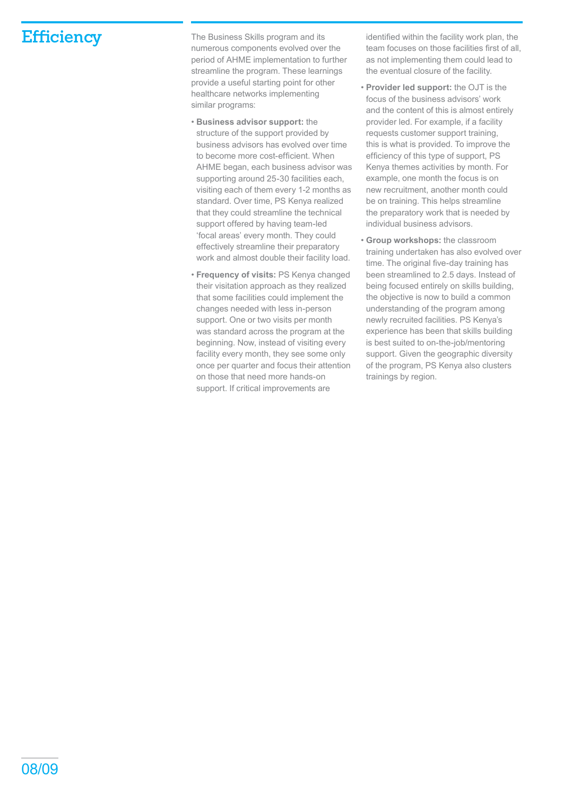**Efficiency** The Business Skills program and its numerous components evolved over the period of AHME implementation to further streamline the program. These learnings provide a useful starting point for other healthcare networks implementing similar programs:

- **Business advisor support:** the structure of the support provided by business advisors has evolved over time to become more cost-efficient. When AHME began, each business advisor was supporting around 25-30 facilities each, visiting each of them every 1-2 months as standard. Over time, PS Kenya realized that they could streamline the technical support offered by having team-led 'focal areas' every month. They could effectively streamline their preparatory work and almost double their facility load.
- **Frequency of visits:** PS Kenya changed their visitation approach as they realized that some facilities could implement the changes needed with less in-person support. One or two visits per month was standard across the program at the beginning. Now, instead of visiting every facility every month, they see some only once per quarter and focus their attention on those that need more hands-on support. If critical improvements are

identified within the facility work plan, the team focuses on those facilities first of all, as not implementing them could lead to the eventual closure of the facility.

- **Provider led support:** the OJT is the focus of the business advisors' work and the content of this is almost entirely provider led. For example, if a facility requests customer support training, this is what is provided. To improve the efficiency of this type of support, PS Kenya themes activities by month. For example, one month the focus is on new recruitment, another month could be on training. This helps streamline the preparatory work that is needed by individual business advisors.
- **Group workshops:** the classroom training undertaken has also evolved over time. The original five-day training has been streamlined to 2.5 days. Instead of being focused entirely on skills building, the objective is now to build a common understanding of the program among newly recruited facilities. PS Kenya's experience has been that skills building is best suited to on-the-job/mentoring support. Given the geographic diversity of the program, PS Kenya also clusters trainings by region.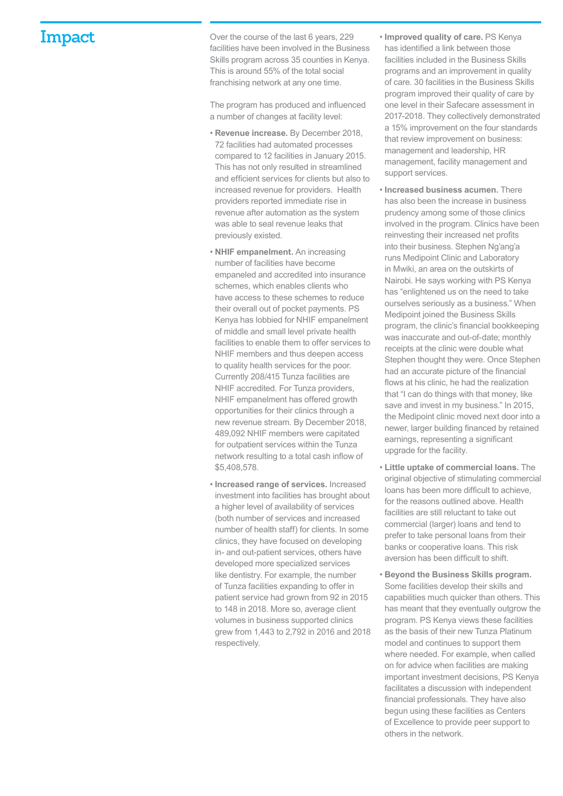**Impact** Over the course of the last 6 years, 229 facilities have been involved in the Business Skills program across 35 counties in Kenya. This is around 55% of the total social franchising network at any one time.

> The program has produced and influenced a number of changes at facility level:

- **Revenue increase.** By December 2018, 72 facilities had automated processes compared to 12 facilities in January 2015. This has not only resulted in streamlined and efficient services for clients but also to increased revenue for providers. Health providers reported immediate rise in revenue after automation as the system was able to seal revenue leaks that previously existed.
- **NHIF empanelment.** An increasing number of facilities have become empaneled and accredited into insurance schemes, which enables clients who have access to these schemes to reduce their overall out of pocket payments. PS Kenya has lobbied for NHIF empanelment of middle and small level private health facilities to enable them to offer services to NHIF members and thus deepen access to quality health services for the poor. Currently 208/415 Tunza facilities are NHIF accredited. For Tunza providers, NHIF empanelment has offered growth opportunities for their clinics through a new revenue stream. By December 2018, 489,092 NHIF members were capitated for outpatient services within the Tunza network resulting to a total cash inflow of \$5,408,578.
- **Increased range of services.** Increased investment into facilities has brought about a higher level of availability of services (both number of services and increased number of health staff) for clients. In some clinics, they have focused on developing in- and out-patient services, others have developed more specialized services like dentistry. For example, the number of Tunza facilities expanding to offer in patient service had grown from 92 in 2015 to 148 in 2018. More so, average client volumes in business supported clinics grew from 1,443 to 2,792 in 2016 and 2018 respectively.
- **Improved quality of care.** PS Kenya has identified a link between those facilities included in the Business Skills programs and an improvement in quality of care. 30 facilities in the Business Skills program improved their quality of care by one level in their Safecare assessment in 2017-2018. They collectively demonstrated a 15% improvement on the four standards that review improvement on business: management and leadership, HR management, facility management and support services.
- **Increased business acumen.** There has also been the increase in business prudency among some of those clinics involved in the program. Clinics have been reinvesting their increased net profits into their business. Stephen Ng'ang'a runs Medipoint Clinic and Laboratory in Mwiki, an area on the outskirts of Nairobi. He says working with PS Kenya has "enlightened us on the need to take ourselves seriously as a business." When Medipoint joined the Business Skills program, the clinic's financial bookkeeping was inaccurate and out-of-date; monthly receipts at the clinic were double what Stephen thought they were. Once Stephen had an accurate picture of the financial flows at his clinic, he had the realization that "I can do things with that money, like save and invest in my business." In 2015, the Medipoint clinic moved next door into a newer, larger building financed by retained earnings, representing a significant upgrade for the facility.
- **Little uptake of commercial loans.** The original objective of stimulating commercial loans has been more difficult to achieve, for the reasons outlined above. Health facilities are still reluctant to take out commercial (larger) loans and tend to prefer to take personal loans from their banks or cooperative loans. This risk aversion has been difficult to shift.
- **Beyond the Business Skills program.** Some facilities develop their skills and capabilities much quicker than others. This has meant that they eventually outgrow the program. PS Kenya views these facilities as the basis of their new Tunza Platinum model and continues to support them where needed. For example, when called on for advice when facilities are making important investment decisions, PS Kenya facilitates a discussion with independent financial professionals. They have also begun using these facilities as Centers of Excellence to provide peer support to others in the network.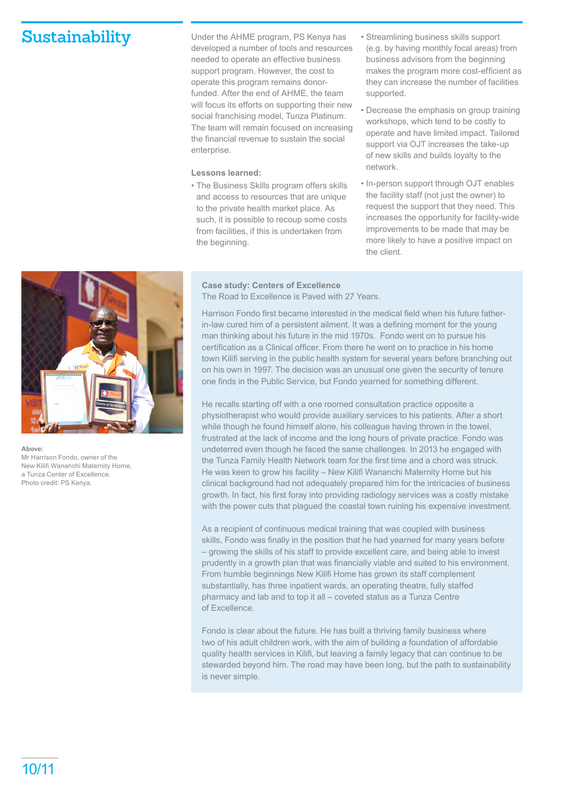**Sustainability** Under the AHME program, PS Kenya has developed a number of tools and resources needed to operate an effective business support program. However, the cost to operate this program remains donorfunded. After the end of AHME, the team will focus its efforts on supporting their new social franchising model, Tunza Platinum. The team will remain focused on increasing the financial revenue to sustain the social enterprise.

### **Lessons learned:**

• The Business Skills program offers skills and access to resources that are unique to the private health market place. As such, it is possible to recoup some costs from facilities, if this is undertaken from the beginning.

- Streamlining business skills support (e.g. by having monthly focal areas) from business advisors from the beginning makes the program more cost-efficient as they can increase the number of facilities supported.
- Decrease the emphasis on group training workshops, which tend to be costly to operate and have limited impact. Tailored support via OJT increases the take-up of new skills and builds loyalty to the network.
- In-person support through OJT enables the facility staff (not just the owner) to request the support that they need. This increases the opportunity for facility-wide improvements to be made that may be more likely to have a positive impact on the client.

**Above:** Mr Harrison Fondo, owner of the New Kilifi Wananchi Maternity Home, a Tunza Center of Excellence. Photo credit: PS Kenya.

### **Case study: Centers of Excellence** The Road to Excellence is Paved with 27 Years.

Harrison Fondo first became interested in the medical field when his future fatherin-law cured him of a persistent ailment. It was a defining moment for the young man thinking about his future in the mid 1970s. Fondo went on to pursue his certification as a Clinical officer. From there he went on to practice in his home town Kilifi serving in the public health system for several years before branching out on his own in 1997. The decision was an unusual one given the security of tenure one finds in the Public Service, but Fondo yearned for something different.

He recalls starting off with a one roomed consultation practice opposite a physiotherapist who would provide auxiliary services to his patients. After a short while though he found himself alone, his colleague having thrown in the towel, frustrated at the lack of income and the long hours of private practice. Fondo was undeterred even though he faced the same challenges. In 2013 he engaged with the Tunza Family Health Network team for the first time and a chord was struck. He was keen to grow his facility – New Kilifi Wananchi Maternity Home but his clinical background had not adequately prepared him for the intricacies of business growth. In fact, his first foray into providing radiology services was a costly mistake with the power cuts that plagued the coastal town ruining his expensive investment.

As a recipient of continuous medical training that was coupled with business skills, Fondo was finally in the position that he had yearned for many years before – growing the skills of his staff to provide excellent care, and being able to invest prudently in a growth plan that was financially viable and suited to his environment. From humble beginnings New Kilifi Home has grown its staff complement substantially, has three inpatient wards, an operating theatre, fully staffed pharmacy and lab and to top it all – coveted status as a Tunza Centre of Excellence.

Fondo is clear about the future. He has built a thriving family business where two of his adult children work, with the aim of building a foundation of affordable quality health services in Kilifi, but leaving a family legacy that can continue to be stewarded beyond him. The road may have been long, but the path to sustainability is never simple.

10/11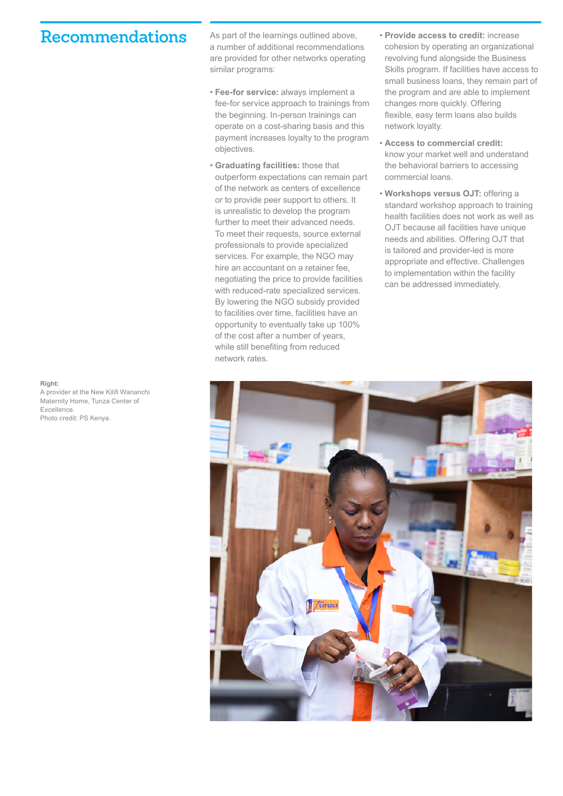### Recommendations As part of the learnings outlined above,

a number of additional recommendations are provided for other networks operating similar programs:

- **Fee-for service:** always implement a fee-for service approach to trainings from the beginning. In-person trainings can operate on a cost-sharing basis and this payment increases loyalty to the program objectives.
- **Graduating facilities:** those that outperform expectations can remain part of the network as centers of excellence or to provide peer support to others. It is unrealistic to develop the program further to meet their advanced needs. To meet their requests, source external professionals to provide specialized services. For example, the NGO may hire an accountant on a retainer fee, negotiating the price to provide facilities with reduced-rate specialized services. By lowering the NGO subsidy provided to facilities over time, facilities have an opportunity to eventually take up 100% of the cost after a number of years, while still benefiting from reduced network rates.
- **Provide access to credit:** increase cohesion by operating an organizational revolving fund alongside the Business Skills program. If facilities have access to small business loans, they remain part of the program and are able to implement changes more quickly. Offering flexible, easy term loans also builds network loyalty.
- **Access to commercial credit:**  know your market well and understand the behavioral barriers to accessing commercial loans.
- **Workshops versus OJT:** offering a standard workshop approach to training health facilities does not work as well as OJT because all facilities have unique needs and abilities. Offering OJT that is tailored and provider-led is more appropriate and effective. Challenges to implementation within the facility can be addressed immediately.



### **Right:**

A provider at the New Kilifi Wananchi Maternity Home, Tunza Center of Excellence. Photo credit: PS Kenya.